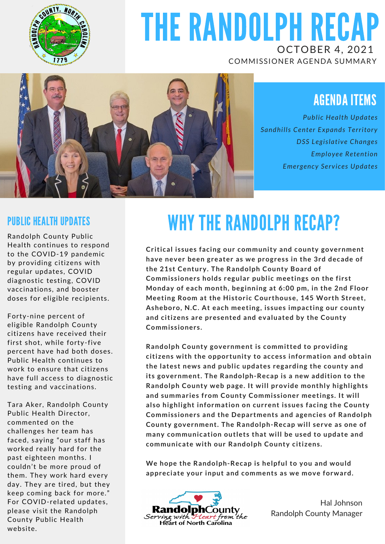

## THE RANDOLPH RECAP OCTOBER 4, 2021

COMMISSIONER AGENDA SUMMARY



### AGENDA ITEMS

*Public Health Updates Sandhills Center Expands Territory DSS Legislative Changes Employee Retention Emergency Services Updates*

#### PUBLIC HEALTH UPDATES

Randolph County Public Health continues to respond to the COVID-19 pandemic by providing citizens with regular updates, COVID diagnostic testing, COVID vaccinations, and booster doses for eligible recipients.

Forty-nine percent of eligible Randolph County citizens have received their first shot, while forty-five percent have had both doses. Public Health continues to work to ensure that citizens have full access to diagnostic testing and vaccinations.

Tara Aker, Randolph County Public Health Director, commented on the challenges her team has faced, saying "our staff has worked really hard for the past eighteen months. I couldn't be more proud of them. They work hard every day. They are tired, but they keep coming back for more." For COVID-related updates, please visit the Randolph County Public Health website.

# WHY THE RANDOLPH RECAP?

**Critical issues facing our community and county government have never been greater as we progress in the 3rd decade of the 21st Century. The Randolph County Board of Commissioners holds regular public meetings on the first Monday of each month, beginning at 6:00 pm, in the 2nd Floor Meeting Room at the Historic Courthouse, 145 Worth Street, Asheboro, N.C. At each meeting, issues impacting our county and citizens are presented and evaluated by the County Commissioners.**

**Randolph County government is committed to providing citizens with the opportunity to access information and obtain the latest news and public updates regarding the county and its government. The Randolph-Recap is a new addition to the Randolph County web page. It will provide monthly highlights and summaries from County Commissioner meetings. It will also highlight information on current issues facing the County Commissioners and the Departments and agencies of Randolph County government. The Randolph-Recap will serve as one of many communication outlets that will be used to update and communicate with our Randolph County citizens.**

**We hope the Randolph-Recap is helpful to you and would appreciate your input and comments as we move forward.**



Hal Johnson Randolph County Manager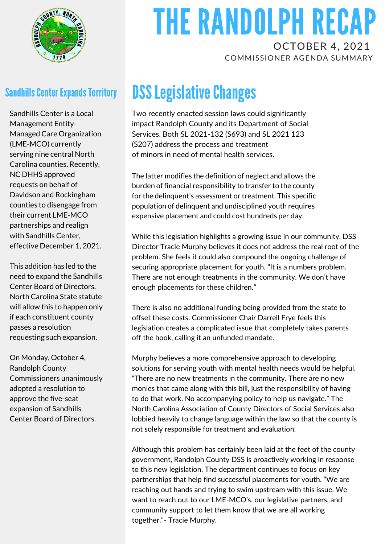

#### **Sandhills Center Expands Territory**

Sandhills Center is a Local Management Entity-Managed Care Organization (LME-MCO) currently serving nine central North Carolina counties. Recently, NC DHHS approved requests on behalf of Davidson and Rockingham counties to disengage from their current LME-MCO partnerships and realign with Sandhills Center, effective December 1, 2021.

This addition has led to the need to expand the Sandhills Center Board of Directors. North Carolina State statute will allow this to happen only if each constituent county passes a resolution requesting such expansion.

On Monday, October 4, Randolph County Commissioners unanimously adopted a resolution to approve the five-seat expansion of Sandhills Center Board of Directors.

## THE RANDOLPH RECAP OCTOBER 4, 2021

COMMISSIONER AGENDA SUMMARY

### **DSS Legislative Changes**

Two recently enacted session laws could significantly impact Randolph County and its Department of Social Services. Both SL 2021-132 (S693) and SL 2021 123 (S207) address the process and treatment of minors in need of mental health services.

The latter modifies the definition of neglect and allows the burden of financial responsibility to transfer to the county for the delinquent's assessment or treatment. This specific population of delinquent and undisciplined youth requires expensive placement and could cost hundreds per day.

While this legislation highlights a growing issue in our community, DSS Director Tracie Murphy believes it does not address the real root of the problem. She feels it could also compound the ongoing challenge of securing appropriate placement for youth. "It is a numbers problem. There are not enough treatments in the community. We don't have enough placements for these children."

There is also no additional funding being provided from the state to offset these costs. Commissioner Chair Darrell Frye feels this legislation creates a complicated issue that completely takes parents off the hook, calling it an unfunded mandate.

Murphy believes a more comprehensive approach to developing solutions for serving youth with mental health needs would be helpful. "There are no new treatments in the community. There are no new monies that came along with this bill, just the responsibility of having to do that work. No accompanying policy to help us navigate." The North Carolina Association of County Directors of Social Services also lobbied heavily to change language within the law so that the county is not solely responsible for treatment and evaluation.

Although this problem has certainly been laid at the feet of the county government, Randolph County DSS is proactively working in response to this new legislation. The department continues to focus on key partnerships that help find successful placements for youth. "We are reaching out hands and trying to swim upstream with this issue. We want to reach out to our LME-MCO's, our legislative partners, and community support to let them know that we are all working together."- Tracie Murphy.